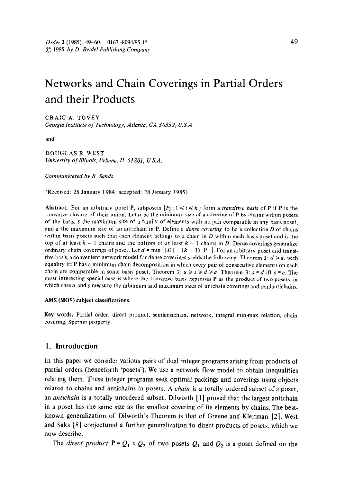# Networks and Chain Coverings in Partial Orders and their Products

CRAIG A. TOVEY Georgia Institute of Technology, Atlanta, GA 30332, U.S.A.

and

DOUGLAS B. WEST University of Illinois, Urbana, IL 61801, U.S.A.

Communicated by B. Sands

(Received: 26 January 1984; accepted: 28 January 1985)

Abstract. For an arbitrary poset P, subposets  $\{P_i : 1 \le i \le k\}$  form a *transitive basis* of P if P is the transitive closure of their union. Let  $u$  be the minimum size of a covering of **P** by chains within posets of the basis, s the maximum size of a family of elements with no pair comparable in any basis poset. and  $a$  the maximum size of an antichain in P. Define a *dense covering* to be a collection  $D$  of chains within basis posets such that each element belongs to a chain in  $D$  within each basis poset and is the top of at least  $k-1$  chains and the bottom of at least  $k-1$  chains in D. Dense coverings generalize ordinary chain coverings of poset. Let  $d = \min\{|D| - (k-1)|P|\}$ . For an arbitrary poset and transitive basis, a convenient network model for dense coverings yields the following: Theorem 1:  $d \ge a$ , with equahty iff P has a minimum chain decomposition in which every pair of consecutive elements on each chain are comparable in some basis poset. Theorem 2:  $u \ge s \ge d \ge a$ . Theorem 3:  $s = d$  iff  $s = a$ . The most interesting special case is where the transitive basis expresses P as the product of two posets, in which case  $u$  and  $s$  measure the minimum and maximum sizes of unichain coverings and semiantichains.

#### AMS (MOS) subject classifications.

Key words. Partial order, direct product, semiantichain, network, integral min-max relation, chain covering, Sperner property.

## 1. Introduction

In this paper we consider various pairs of dual integer programs arising from products of partial orders (henceforth 'posets'). We use a network flow model to obtain inequalities relating them. These integer programs seek optimal packings and coverings using objects related to chains and antichains in posets. A *chain* is a totally ordered subset of a poset, an *antichain* is a totally unordered subset. Dilworth  $\begin{bmatrix} 1 \end{bmatrix}$  proved that the largest antichain in a poset has the same size as the smallest covering of its elements by chains. The bestknown generalization of Dilworth's Theorem is that of Greene and Kleitman [2]. West and Saks [8] conjectured a further generalization to direct products of posets, which we now describe.

The direct product  $P = Q_1 \times Q_2$  of two posets  $Q_1$  and  $Q_2$  is a poset defined on the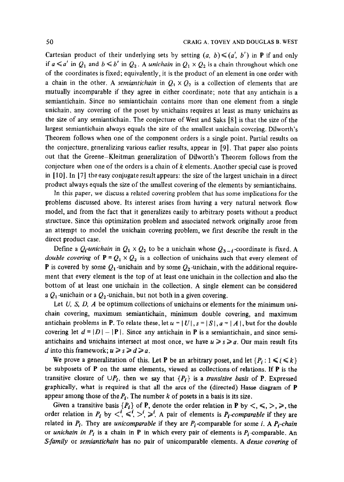Cartesian product of their underlying sets by setting  $(a, b) \leq (a', b')$  in **P** if and only if  $a \le a'$  in  $Q_1$  and  $b \le b'$  in  $Q_2$ . A unichain in  $Q_1 \times Q_2$  is a chain throughout which one of the coordinates is fixed; equivalently, it is the product of an element in one order with a chain in the other. A semiantichain in  $Q_1 \times Q_2$  is a collection of elements that are mutually incomparable if they agree in either coordinate; note that any antichain is a semiantichain. Since no semiantichain contains more than one element from a single unichain, any covering of the poset by unichains requires at least as many unichains as the size of any semiantichain. The conjecture of West and Saks [8] is that the size of the largest semiantichain always equals the size of the smallest unichain covering. Dilworth's Theorem follows when one of the component orders is a single point. Partial results on the conjecture, generalizing various earlier results, appear in [9]. That paper also points out that the Greene-Kleitman generalization of Dilworth's Theorem follows from the conjecture when one of the orders is a chain of  $k$  elements. Another special case is proved in  $[10]$ . In  $[7]$  the easy conjugate result appears: the size of the largest unichain in a direct product always equals the size of the smallest covering of the elements by semiantichains.

In this paper, we discuss a related covering problem that has some implications for the problems discussed above. Its interest arises from having a very natural network flow model, and from the fact that it generalizes easily to arbitrary posets without a product structure. Since this optimization problem and associated network originally arose from an attempt to model the unichain covering problem, we first describe the result in the direct product case.

Define a  $Q_i$ -unichain in  $Q_1 \times Q_2$  to be a unichain whose  $Q_{3-i}$ -coordinate is fixed. A double covering of  $P = Q_1 \times Q_2$  is a collection of unichains such that every element of **P** is covered by some  $Q_1$ -unichain and by some  $Q_2$ -unichain, with the additional requirement that every element is the top of at least one unichain in the collection and also the bottom of at least one unichain in the collection. A single element can be considered a  $Q_1$ -unichain or a  $Q_2$ -unichain, but not both in a given covering.

Let  $U$ ,  $S$ ,  $D$ ,  $A$  be optimum collections of unichains or elements for the minimum unichain covering, maximum semiantichain, minimum double covering, and maximum antichain problems in P. To relate these, let  $u = |U|$ ,  $s = |S|$ ,  $a = |A|$ , but for the double covering let  $d = |D| - |P|$ . Since any antichain in P is a semiantichain, and since semiantichains and unichains intersect at most once, we have  $u \ge s \ge a$ . Our main result fits d into this framework;  $u \geq s \geq d \geq a$ .

We prove a generalization of this. Let P be an arbitrary poset, and let  $\{P_i : 1 \le i \le k\}$ be subposets of  $P$  on the same elements, viewed as collections of relations. If  $P$  is the transitive closure of  $\cup P_i$ , then we say that  $\{P_i\}$  is a *transitive basis* of P. Expressed graphically, what is required is that all the arcs of the (directed) Hasse diagram of P appear among those of the  $P_i$ . The number k of posets in a basis is its size.

Given a transitive basis  $\{P_i\}$  of P, denote the order relation in P by  $\langle , \leq, \geq, \geq \rangle$ , the order relation in  $P_i$  by  $\langle s, s \rangle^i$ ,  $\geq i$ . A pair of elements is  $P_i$ -comparable if they are related in  $P_i$ . They are unicomparable if they are  $P_i$ -comparable for some i. A  $P_i$ -chain or unichain in  $P_i$  is a chain in P in which every pair of elements is  $P_i$ -comparable. An S-family or semiantichain has no pair of unicomparable elements. A dense covering of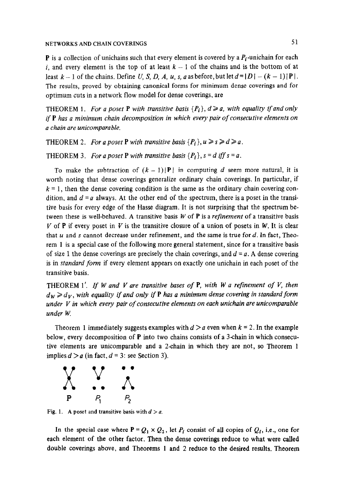**P** is a collection of unichains such that every element is covered by a  $P_i$ -unichain for each i, and every element is the top of at least  $k - 1$  of the chains and is the bottom of at least  $k-1$  of the chains. Define U, S, D, A, u, s, a as before, but let  $d=|D|-(k-1)|P|$ . The results, proved by obtaining canonical forms for minimum dense coverings and for optimum cuts in a network flow model for dense coverings, are

THEOREM 1. For a poset **P** with transitive basis  $\{P_i\}$ ,  $d \ge a$ , with equality if and only if P has a minimum chain decomposition in which every pair of consecutive elements on a chain are unicomparable.

THEOREM 2. For a poset P with transitive basis  $\{P_i\}, u \geq s \geq d \geq a$ .

THEOREM 3. For a poset P with transitive basis  $\{P_i\}$ ,  $s = d$  iff  $s = a$ .

To make the subtraction of  $(k - 1)|P|$  in computing d seem more natural, it is worth noting that dense coverings generalize ordinary chain coverings. In particular, if  $k = 1$ , then the dense covering condition is the same as the ordinary chain covering condition, and  $d = a$  always. At the other end of the spectrum, there is a poset in the transitive basis for every edge of the Hasse diagram. It is not surprising that the spectrum between these is well-behaved. A transitive basis  $W$  of  $P$  is a *refinement* of a transitive basis V of P if every poset in V is the transitive closure of a union of posets in W. It is clear that  $u$  and  $s$  cannot decrease under refinement, and the same is true for  $d$ . In fact, Theorem 1 is a special case of the following more general statement, since for a transitive basis of size 1 the dense coverings are precisely the chain coverings, and  $d = a$ . A dense covering is in *standard form* if every element appears on exactly one unichain in each poset of the transitive basis.

THEOREM  $1'$ . If W and V are transitive bases of P, with W a refinement of V, then  $d_W \ge d_V$ , with equality if and only if P has a minimum dense covering in standard form under  $V$  in which every pair of consecutive elements on each unichain are unicomparable under W.

Theorem 1 immediately suggests examples with d  $\sim$  a even when k  $=2,$  In the examples with d  $\sim$  $\frac{1}{2}$  into the F into the chains consecutive of  $\frac{1}{2}$  in the  $\frac{1}{2}$  in the  $\frac{1}{2}$  in the  $\frac{1}{2}$  in the  $\frac{1}{2}$ below, every decomposition of  $P$  into two chains consists of a 3-chain in which consecutive elements are unicomparable and a 2-chain in which they are not, so Theorem 1 implies  $d > a$  (in fact,  $d = 3$ : see Section 3).



Fig. 1. A poset and transitive basis with  $d > a$ .

In the special case where  $P = Q_1 \times Q_2$ , let  $P_i$  consist of all copies of  $Q_i$ , i.e., one for each element of the other factor. Then the dense coverings reduce to what were called double coverings above, and Theorems 1 and 2 reduce to the desired results. Theorem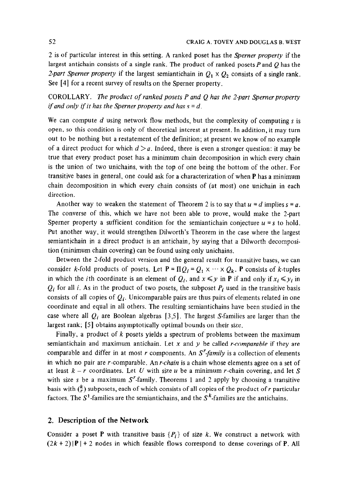2 is of particular interest in this setting. A ranked poset has the Sperner property if the largest antichain consists of a single rank. The product of ranked posets  $P$  and  $Q$  has the 2-part Sperner property if the largest semiantichain in  $Q_1 \times Q_2$  consists of a single rank. See [4] for a recent survey of results on the Sperner property.

COROLLARY. The product of ranked posets  $P$  and  $Q$  has the 2-part Sperner property if and only if it has the Sperner property and has  $s = d$ .

We can compute  $d$  using network flow methods, but the complexity of computing  $s$  is open, so this condition is only of theoretical interest at present. In addition, it may turn out to be nothing but a restatement of the definition; at present we know of no example of a direct product for which  $d > a$ . Indeed, there is even a stronger question: it may be true that every product poset has a minimum chain decomposition in which every chain is the union of two unichains, with the top of one being the bottom of the other. For transitive bases in general, one could ask for a characterization of when P has a minimum chain decomposition in which every chain consists of (at most) one unichain in each direction.

Another way to weaken the statement of Theorem 2 is to say that  $u = d$  implies  $s = a$ . The converse of this, which we have not been able to prove, would make the 2-part Sperner property a sufficient condition for the semiantichain conjecture  $u = s$  to hold. Put another way, it would strengthen Dilworth's Theorem in the case where the largest semiantichain in a direct product is an antichain, by saying that a Dilworth decomposition (minimum chain covering) can be found using only unichains.

Between the 2-fold product version and the general result for transitive bases, we can consider k-fold products of posets. Let  $P = \Pi Q_i = Q_1 \times \cdots \times Q_k$ . P consists of k-tuples in which the *i*th coordinate is an element of  $Q_i$ , and  $x \leq y$  in **P** if and only if  $x_i \leq y_i$  in  $Q_i$  for all i. As in the product of two posets, the subposet  $P_i$  used in the transitive basis consists of all copies of  $Q_i$ . Unicomparable pairs are thus pairs of elements related in one coordinate and equal in all others. The resulting semiantichains have been studied in the case where all  $Q_i$  are Boolean algebras [3,5]. The largest S-families are larger than the largest rank; [5] obtains asymptotically optimal bounds on their size.

Finally, a product of k posets yields a spectrum of problems between the maximum semiantichain and maximum antichain. Let x and y be called r-comparable if they are comparable and differ in at most r components. An  $S<sup>r</sup>$ -family is a collection of elements in which no pair are r-comparable. An r-chain is a chain whose elements agree on a set of at least  $k - r$  coordinates. Let U with size u be a minimum r-chain covering, and let S with size s be a maximum  $S<sup>r</sup>$ -family. Theorems 1 and 2 apply by choosing a transitive basis with  $\binom{k}{r}$  subposets, each of which consists of all copies of the product of r particular factors. The  $S^1$ -families are the semiantichains, and the  $S^k$ -families are the antichains.

## 2. Description of the Network

Consider a poset P with transitive basis  $\{P_i\}$  of size k. We construct a network with  $(2k + 2)$  |**P** | + 2 nodes in which feasible flows correspond to dense coverings of **P**. All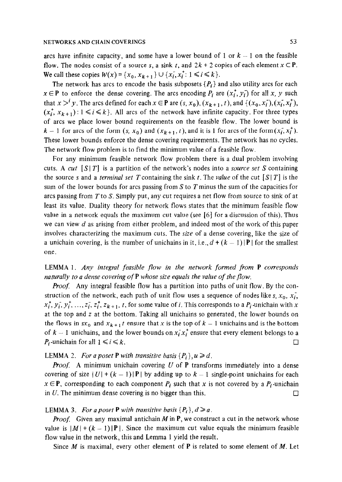arcs have infinite capacity, and some have a lower bound of 1 or  $k - 1$  on the feasible flow. The nodes consist of a source s, a sink t, and  $2k + 2$  copies of each element  $x \in P$ . We call these copies  $W(x) = \{x_0, x_{k+1}\} \cup \{x_i, x_i^*: 1 \le i \le k\}.$ 

The network has arcs to encode the basis subposets  $\{P_i\}$  and also utility arcs for each  $x \in \mathbf{P}$  to enforce the dense covering. The arcs encoding  $P_i$  are  $(x_i^+, y_i^-)$  for all x, y such that  $x >^i y$ . The arcs defined for each  $x \in \mathbf{P}$  are  $(s, x_0)$ ,  $(x_{k+1}, t)$ , and  $\{(x_0, x_i), (x_i, x_i^*)\}$ ,  $(x_i^+, x_{k+1}): 1 \le i \le k$ . All arcs of the network have infinite capacity. For three types of arcs we place lower bound requirements on the feasible flow. The lower bound is  $k-1$  for arcs of the form  $(s, x_0)$  and  $(x_{k+1}, t)$ , and it is 1 for arcs of the form  $(x_i, x_i)$ . These lower bounds enforce the dense covering requirements. The network has no cycles. The network flow problem is to find the minimum value of a feasible flow.

For any minimum feasible network flow problem there is a dual problem involving cuts. A cut  $[S|T]$  is a partition of the network's nodes into a *source set* S containing the source s and a *terminal set T* containing the sink t. The value of the cut  $[S|T]$  is the sum of the lower bounds for arcs passing from S to T minus the sum of the capacities for arcs passing from  $T$  to  $S$ . Simply put, any cut requires a net flow from source to sink of at least its value. Duality theory for network flows states that the minimum feasible flow value in a network equals the maximum cut value (see [6] for a discussion of this). Thus we can view  $d$  as arising from either problem, and indeed most of the work of this paper involves characterizing the maximum cuts. The  $size$  of a dense covering, like the size of a unichain covering, is the number of unichains in it, i.e.,  $d + (k - 1)$  | **P** | for the smallest one.

LEMMA 1. Any integral feasible flow in the network formed from P corresponds naturally to a dense covering of P whose size equals the value of the flow.

Proof. Any integral feasible flow has a partition into paths of unit flow. By the construction of the network, each path of unit flow uses a sequence of nodes like s,  $x_0$ ,  $x_i$ ,  $x_i^*, y_i^*, y_i^*, \ldots, z_i^*, z_i^*, z_{k+1}, t$ , for some value of i. This corresponds to a  $P_i$ -unichain with x at the top and z at the bottom. Taking all unichains so generated, the lower bounds on the flows in  $sx_0$  and  $x_{k+1}$  *t* ensure that x is the top of  $k-1$  unichains and is the bottom of  $k-1$  unichains, and the lower bounds on  $x_i^r x_i^+$  ensure that every element belongs to a  $P_i$ -unichain for all  $1 \le i \le k$ .

## LEMMA 2. For a poset P with transitive basis  $\{P_i\}, u \ge d$ .

**Proof.** A minimum unichain covering U of P transforms immediately into a dense covering of size  $|U| + (k - 1)|P|$  by adding up to  $k - 1$  single-point unichains for each  $x \in \mathbf{P}$ , corresponding to each component  $P_i$  such that x is not covered by a  $P_i$ -unichain in U. The minimum dense covering is no bigger than this.  $\Box$ 

#### LEMMA 3. For a poset P with transitive basis  $\{P_i\}, d \ge a$ .

*Proof.* Given any maximal antichain M in P, we construct a cut in the network whose value is  $|M| + (k - 1)|P|$ . Since the maximum cut value equals the minimum feasible flow value in the network, this and Lemma 1 yield the result.

Since M is maximal, every other element of **P** is related to some element of M. Let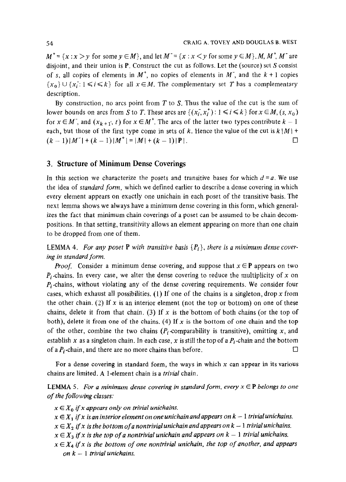$M^+=\{x:x>y \text{ for some } y\in M\}$ , and let  $M^-=\{x:x. M,  $M^+$ ,  $M^-$  are$ disjoint, and their union is  $P$ . Construct the cut as follows. Let the (source) set S consist of s, all copies of elements in  $M^+$ , no copies of elements in  $M^-$ , and the  $k + 1$  copies  ${x_0} \cup {x_i : 1 \le i \le k}$  for all  $x \in M$ . The complementary set T has a complementary description.

By construction, no arcs point from  $T$  to  $S$ . Thus the value of the cut is the sum of lower bounds on arcs from S to T. These arcs are  $\{(x_i, x_j^*) : 1 \le i \le k\}$  for  $x \in M$ ,  $(s, x_0)$ for  $x \in M^*$ , and  $(x_{k+1}, t)$  for  $x \in M^*$ . The arcs of the latter two types contribute  $k-1$ each, but those of the first type come in sets of k. Hence the value of the cut is  $k |M|$  +  $(k-1)|M^+|+(k-1)|M^+| = |M|+(k-1)|P|$ .

## 3. Structure of Minimum Dense Coverings

In this section we characterize the posets and transitive bases for which  $d = a$ . We use the idea of *standard form*, which we defined earlier to describe a dense covering in which every element appears on exactly one unichain in each poset of the transitive basis. The next lemma shows we always have a minimum dense covering in this form, which generalizes the fact that minimum chain coverings of a poset can be assumed to be chain decompositions. In that setting, transitivity allows an element appearing on more than one chain to be dropped from one of them.

**LEMMA 4.** For any poset **P** with transitive basis  $\{P_i\}$ , there is a minimum dense covering in standard form.

*Proof.* Consider a minimum dense covering, and suppose that  $x \in P$  appears on two  $P_i$ -chains. In every case, we alter the dense covering to reduce the multiplicity of x on P<sub>i</sub>-chains, in every easy we are the dense covering to reader the independent of we consider for the dense consideration of the dense consider for the constant of  $\theta$ cases, which exhaust all possibilities of the chains is a singleton of the contract row. cases, which exhaust all possibilities. (1) If one of the chains is a singleton, drop x from the other chain. (2) If x is an interior element (not the top or bottom) on one of these chains, delete it from that chain. (3) If x is the bottom of both chains (or the top of both), delete it from one of the chains. (4) If x is the bottom of one chain and the top of the other, combine the two chains  $(P_i$ -comparability is transitive), omitting x, and establish x as a singleton chain. In each case, x is still the top of a  $P_i$ -chain and the bottom of a  $P_i$ -chain, and there are no more chains than before.

For a defise covering in standard form, the ways i

**LEMMA** 3. For a minim of the following classes:

 $x \in X_0$  if x appears only on trivial unichains.

- $x \in X_1$  if x is an interior element on one unichain and appears on  $k 1$  trivial unichains.
- $x \in X_2$  if x is the bottom of a nontrivial unichain and appears on  $k 1$  trivial unichains.
- $x \in X_3$  if x is the top of a nontrivial unichain and appears on  $k-1$  trivial unichains.
- $x \in X_4$  if x is the bottom of one nontrivial unichain, the top of another, and appears on  $k-1$  trivial unichains.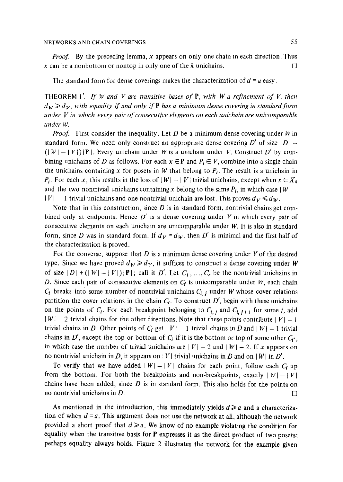*Proof.* By the preceding lemma, x appears on only one chain in each direction. Thus x can be a nonbottom or nontop in only one of the k unichains.

The standard form for dense coverings makes the characterization of  $d = a$  easy,

THEOREM 1'. If W and V are transitive bases of  $P$ , with W a refinement of V, then  $d_W \ge d_V$ , with equality if and only if **P** has a minimum dense covering in standard form under  $V$  in which every pair of consecutive elements on each unichain are unicomparable under W.

*Proof.* First consider the inequality. Let D be a minimum dense covering under W in standard form. We need only construct an appropriate dense covering  $D'$  of size  $|D|$  - $(|W| - |V|)|$  P |. Every unichain under W is a unichain under V. Construct D' by combining unichains of D as follows. For each  $x \in \mathbf{P}$  and  $P_i \in V$ , combine into a single chain the unichains containing x for posets in W that belong to  $P_i$ . The result is a unichain in  $P_i$ . For each x, this results in the loss of  $|W| - |V|$  trivial unichains, except when  $x \in X_4$ and the two nontrivial unichains containing x belong to the same  $P_i$ , in which case  $|W|$  - $|V| - 1$  trivial unichains and one nontrivial unichain are lost. This proves  $d_V \le d_W$ .

Note that in this construction, since  $D$  is in standard form, nontrivial chains get combined only at endpoints. Hence  $D'$  is a dense covering under V in which every pair of consecutive elements on each unichain are unicomparable under  $W$ . It is also in standard form, since D was in standard form. If  $d_V = d_W$ , then D' is minimal and the first half of the characterization is proved.

For the converse, suppose that D is a minimum dense covering under  $V$  of the desired type. Since we have proved  $d_W \ge d_V$ , it suffices to construct a dense covering under W of size  $|D| + (|W| - |V|)|P|$ ; call it D'. Let  $C_1, ..., C_r$  be the nontrivial unichains in D. Since each pair of consecutive elements on  $C_i$  is unicomparable under  $W$ , each chain  $C_i$  breaks into some number of nontrivial unichains  $C_{i,j}$  under W whose cover relations partition the cover relations in the chain  $C_i$ . To construct D', begin with these unichains on the points of  $C_i$ . For each breakpoint belonging to  $C_{i,j}$  and  $C_{i,j+1}$  for some j, add  $|W| - 2$  trivial chains for the other directions. Note that these points contribute  $|V| - 1$ trivial chains in D. Other points of  $C_i$  get  $|V| - 1$  trivial chains in D and  $|W| - 1$  trivial chains in D', except the top or bottom of  $C_i$  if it is the bottom or top of some other  $C_i$ , in which case the number of trivial unichains are  $|V| - 2$  and  $|W| - 2$ . If x appears on no nontrivial unichain in D, it appears on |V| trivial unichains in D and on |W| in D'.

To verify that we have added  $|W| - |V|$  chains for each point, follow each C<sub>i</sub> up from the bottom. For both the breakpoints and non-breakpoints, exactly  $|W| - |V|$ chains have been added, since  $D$  is in standard form. This also holds for the points on no nontrivial unichains in D. club is a set of  $\Box$ 

As mentioned in the introduction, this immediately yields  $d \ge a$  and a characterization of when  $d = a$ . This argument does not use the network at all, although the network provided a short proof that  $d \ge a$ . We know of no example violating the condition for equality when the transitive basis for P expresses it as the direct product of two posets; perhaps equality always holds. Figure 2 illustrates the network for the example given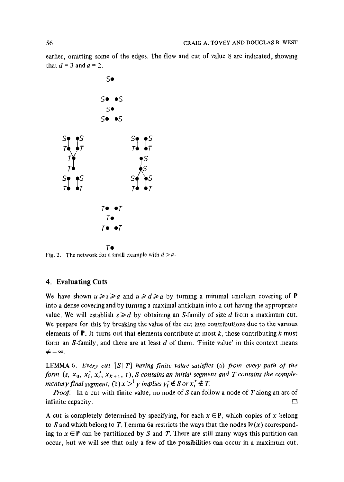earlier, omitting some of the edges. The flow and cut of value 8 are indicated, showing that  $d=3$  and  $a=2$ .



Fig. 2. The network for a small example with  $d > a$ .

### 4. Evaluating Cuts

We have shown  $u \ge s \ge a$  and  $u \ge d \ge a$  by turning a minimal unichain covering of **P** into a dense covering and by turning a maximal antichain into a cut having the appropriate value. We will establish  $s \ge d$  by obtaining an S-family of size d from a maximum cut. We prepare for this by breaking the value of the cut into contributions due to the various elements of **P**. It turns out that elements contribute at most  $k$ , those contributing k must form an  $S$ -family, and there are at least  $d$  of them. 'Finite value' in this context means  $\neq -\infty$ .

LEMMA 6. Every cut  $[S|T]$  having finite value satisfies (a) from every path of the form (s,  $x_0$ ,  $x_i$ ,  $x_i^+$ ,  $x_{k+1}$ , t), S contains an initial segment and T contains the complementary final segment; (b)  $x >^i y$  implies  $y_i \notin S$  or  $x_i^+ \notin T$ .

Proof: In a cut with finite value, no node of S can follow a node of T along an arc of infinite capacity.  $\Box$ 

A cut is completely determined by specifying, for each  $x \in P$ , which copies of x belong to S and which belong to T. Lemma 6a restricts the ways that the nodes  $W(x)$  corresponding to  $x \in P$  can be partitioned by S and T. There are still many ways this partition can occur, but we will see that only a few of the possibilities can occur in a maximum cut.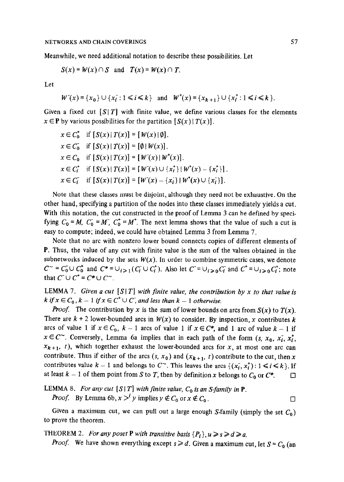Meanwhile, we need additional notation to describe these possibilities. Let

$$
S(x) = W(x) \cap S \text{ and } T(x) = W(x) \cap T.
$$

Let

$$
W^-(x) = \{x_0\} \cup \{x_i : 1 \le i \le k\} \quad \text{and} \quad W^+(x) = \{x_{k+1}\} \cup \{x_i^+ : 1 \le i \le k\}.
$$

Given a fixed cut  $[S|T]$  with finite value, we define various classes for the elements  $x \in \mathbf{P}$  by various possibilities for the partition  $[S(x) | T(x)]$ .

$$
x \in C_0^* \text{ if } [S(x) | T(x)] = [W(x) | \emptyset].
$$
  
\n
$$
x \in C_0^* \text{ if } [S(x) | T(x)] = [\emptyset | W(x)].
$$
  
\n
$$
x \in C_0 \text{ if } [S(x) | T(x)] = [W^-(x) | W^+(x)].
$$
  
\n
$$
x \in C_t^* \text{ if } [S(x) | T(x)] = [W^-(x) \cup \{x_t^+\} | W^+(x) - \{x_t^+\}].
$$
  
\n
$$
x \in C_t^* \text{ if } [S(x) | T(x)] = [W^-(x) - \{x_t^-\} | W^+(x) \cup \{x_t^-\}].
$$

Note that these classes must be disjoint, although they need not be exhaustive. On the other hand, specifying a partition of the nodes into these classes immediately yields a cut. With this notation, the cut constructed in the proof of Lemma 3 can be defined by specifying  $C_0 = M$ ,  $C_0 = M$ ,  $C_0^+ = M^+$ . The next lemma shows that the value of such a cut is easy to compute; indeed, we could have obtained Lemma 3 from Lemma 7.

Note that no arc with nonzero lower bound connects copies of different elements of P. Thus, the value of any cut with finite value is the sum of the values obtained in the subnetworks induced by the sets  $W(x)$ . In order to combine symmetric cases, we denote  $C^{\sim} = C_0 \cup C_0^*$  and  $C^* = \bigcup_{i \geq 1} (C_i \cup C_i^*)$ . Also let  $C = \bigcup_{i \geq 0} C_i$  and  $C^* = \bigcup_{i \geq 0} C_i^*$ ; note that  $C^- \cup C^+ = C^* \cup C^-$ .

LEMMA 7. Given a cut  $[S|T]$  with finite value, the contribution by x to that value is k if  $x \in C_0$ ,  $k - 1$  if  $x \in C^+ \cup C$ , and less than  $k - 1$  otherwise.

**Proof.** The contribution by x is the sum of lower bounds on arcs from  $S(x)$  to  $T(x)$ . There are  $k + 2$  lower-bounded arcs in  $W(x)$  to consider. By inspection, x contributes k arcs of value 1 if  $x \in C_0$ ,  $k-1$  arcs of value 1 if  $x \in C^*$ , and 1 arc of value  $k-1$  if  $x \in C^{\infty}$ . Conversely, Lemma 6a implies that in each path of the form  $(s, x_0, x_i, x_i^*)$  $x_{k+1}$ , t), which together exhaust the lower-bounded arcs for x, at most one arc can contribute. Thus if either of the arcs  $(s, x_0)$  and  $(x_{k+1}, t)$  contribute to the cut, then x contributes value  $k - 1$  and belongs to  $C^{\sim}$ . This leaves the arcs  $\{(x_i, x_i^*) : 1 \le i \le k\}$ . If at least  $k-1$  of them point from S to T, then by definition x belongs to  $C_0$  or  $C^*$ .

LEMMA 8. For any cut [S|T] with finite value, 
$$
C_0
$$
 is an S-family in P.  
Proof. By Lemma 6b,  $x >^i y$  implies  $y \notin C_0$  or  $x \notin C_0$ .

Given a maximum cut, we can pull out a large enough S-family (simply the set  $C_0$ ) to prove the theorem.

THEOREM 2. For any poset **P** with transitive basis  $\{P_i\}, u \ge s \ge d \ge a$ .

*Proof.* We have shown everything except  $s \ge d$ . Given a maximum cut, let  $S = C_0$  (an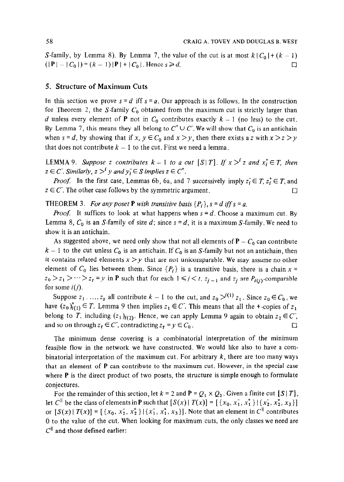S-family, by Lemma 8). By Lemma 7, the value of the cut is at most  $k | C_0 | + (k - 1)$  $(|P| - |C_0|) = (k - 1)|P| + |C_0|$ . Hence  $s \ge d$ .

#### 5. Structure of Maximum Cuts

In this section we prove  $s = d$  iff  $s = a$ . Our approach is as follows. In the construction for Theorem 2, the S-family  $C_0$  obtained from the maximum cut is strictly larger than d unless every element of **P** not in  $C_0$  contributes exactly  $k - 1$  (no less) to the cut. By Lemma 7, this means they all belong to  $C^+ \cup C^-$ . We will show that  $C_0$  is an antichain when  $s = d$ , by showing that if x,  $y \in C_0$  and  $x > y$ , then there exists a z with  $x > z > y$ that does not contribute  $k - 1$  to the cut. First we need a lemma.

LEMMA 9. Suppose z contributes  $k-1$  to a cut  $[S|T]$ . If  $x >^i z$  and  $x_i^+ \in T$ , then  $z \in C$ . Similarly,  $z >^i y$  and  $y_i \in S$  implies  $z \in C^*$ .

*Proof.* In the first case, Lemmas 6b, 6a, and 7 successively imply  $z_i \in T$ ,  $z_i^+ \in T$ , and  $z \in C$ . The other case follows by the symmetric argument.

THEOREM 3. For any poset **P** with transitive basis  $\{P_i\}$ ,  $s = d$  iff  $s = a$ .

*Proof.* It suffices to look at what happens when  $s = d$ . Choose a maximum cut. By Lemma 8,  $C_0$  is an S-family of size d; since  $s = d$ , it is a maximum S-family. We need to show it is an antichain.

As suggested above, we need only show that not all elements of  $P - C_0$  can contribute  $k-1$  to the cut unless  $C_0$  is an antichain. If  $C_0$  is an S-family but not an antichain, then it contains related elements  $x > y$  that are not unicomparable. We may assume no other element of  $C_0$  lies between them. Since  $\{P_i\}$  is a transitive basis, there is a chain x =  $z_0 > z_1 > \cdots > z_t = y$  in P such that for each  $1 \le i \le t$ ,  $z_{i-1}$  and  $z_i$  are  $P_{i(i)}$ -comparable for some  $i(j)$ .

Suppose  $z_1, ..., z_s$  all contribute  $k-1$  to the cut, and  $z_0 \ge^{i(1)} z_1$ . Since  $z_0 \in C_0$ , we have  $(z_0)_{i(1)}^+ \in T$ . Lemma 9 then implies  $z_1 \in C$ . This means that all the +-copies of  $z_1$ belong to T, including  $(z_1)_{i(2)}$ . Hence, we can apply Lemma 9 again to obtain  $z_2 \in \mathbb{C}^7$ , and so on through  $z_t \in C$ , contradicting  $z_t = y \in C_0$ .

The minimum dense covering is a combinatorial interpretation of the minimum feasible flow in the network we have constructed. We would like also to have a combinatorial interpretation of the maximum cut. For arbitrary  $k$ , there are too many ways that an element of P can contribute to the maximum cut. However, in the special case where  $P$  is the direct product of two posets, the structure is simple enough to formulate conjectures.

For the remainder of this section, let  $k = 2$  and  $P = Q_1 \times Q_2$ . Given a finite cut  $[S | T]$ , let C<sup>||</sup> be the class of elements in **P** such that  $[S(x) | T(x)] = [{x_0, x_1^*, x_1^*}] [{x_2^*, x_2^*, x_3}]$ or  $[S(x) | T(x)] = [{x_0, x_2, x_2^{\dagger}}] [{x_1, x_1^{\dagger}, x_3}]$ . Note that an element in  $C^{\dagger}$  contributes 0 to the value of the cut. When looking for maximum cuts, the only classes we need are  $C^{\parallel}$  and those defined earlier: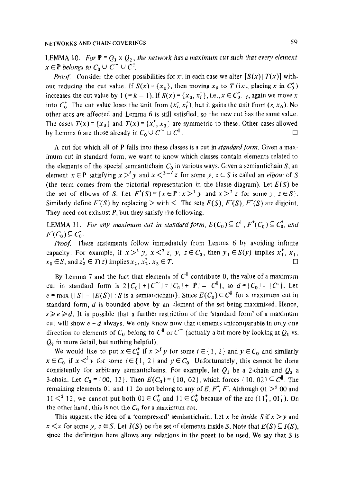LEMMA 10. For  $P = Q_1 \times Q_2$ , the network has a maximum cut such that every element  $x \in \mathbf{P}$  belongs to  $C_0 \cup C^{\sim} \cup C^{\parallel}$ .

*Proof.* Consider the other possibilities for x; in each case we alter  $[S(x) | T(x)]$  without reducing the cut value. If  $S(x) = \{x_0\}$ , then moving  $x_0$  to T (i.e., placing x in  $C_0^+$ ) increases the cut value by 1 (= k - 1). If  $S(x) = \{x_0, x_i\}$ , i.e.,  $x \in C_{3-i}^*$ , again we move x into  $C_0^*$ . The cut value loses the unit from  $(x_i^*, x_i^*)$ , but it gains the unit from  $(s, x_0)$ . No other arcs are affected and Lemma 6 is still satisfied, so the new cut has the same value. The cases  $T(x) = \{x_3\}$  and  $T(x) = \{x_i^+, x_3\}$  are symmetric to these. Other cases allowed by Lemma 6 are those already in  $C_0 \cup C^{\sim} \cup C^{\parallel}$ .

A cut for which all of **P** falls into these classes is a cut in *standard form*. Given a maximum cut in standard form, we want to know which classes contain elements related to the elements of the special semiantichain  $C_0$  in various ways. Given a semiantichain S, an element  $x \in \mathbf{P}$  satisfying  $x >^i y$  and  $x <^{3-i} z$  for some y,  $z \in S$  is called an elbow of S (the term comes from the pictorial representation in the Hasse diagram). Let  $E(S)$  be the set of elbows of S. Let  $F^{\dagger}(S) = \{x \in P : x >^1 y \text{ and } x >^2 z \text{ for some } y, z \in S\}.$ Similarly define  $F(S)$  by replacing  $>$  with  $\lt$ . The sets  $E(S)$ ,  $F(S)$ ,  $F^*(S)$  are disjoint. They need not exhaust  $P$ , but they satisfy the following.

LEMMA 11. For any maximum cut in standard form,  $E(C_0) \subseteq C^{\parallel}$ ,  $F^{\dagger}(C_0) \subseteq C^{\dagger}$ , and  $F(C_0) \subseteq C_0$ .

Proof. These statements follow immediately from Lemma 6 by avoiding infinite capacity. For example, if  $x >^1 y$ ,  $x <^2 z$ , y,  $z \in C_0$ , then  $y_1 \in S(y)$  implies  $x_1^+, x_1^-,$  $x_0 \in S$ , and  $z_2^+ \in T(z)$  implies  $x_2, x_2^+, x_3 \in T$ .

By Lemma 7 and the fact that elements of  $C^{\parallel}$  contribute 0, the value of a maximum cut in standard form is  $2|C_0|+|C^{\sim}| = |C_0|+|P|-|C^{\parallel}|$ , so  $d = |C_0|-|C^{\parallel}|$ . Let ear in gradual semi- $\mathcal{L}(\mathcal{S})$  is a semi-formal maximum cut in  $\mathcal{S}(\mathcal{S})$  for a maximum cut in  $\mathcal{S}(\mathcal{S})$  for a maximum cut in  $\mathcal{S}(\mathcal{S})$  for a maximum cut in  $\mathcal{S}(\mathcal{S})$  for a maximum cut in  $\mathcal{S}(\mathcal$  $s = \max_{i=1}^n \sum_{i=1}^n \sum_{j=1}^n \sum_{j=1}^n \sum_{j=1}^n \sum_{j=1}^n \sum_{j=1}^n \sum_{j=1}^n \sum_{j=1}^n \sum_{j=1}^n \sum_{j=1}^n \sum_{j=1}^n \sum_{j=1}^n \sum_{j=1}^n \sum_{j=1}^n \sum_{j=1}^n \sum_{j=1}^n \sum_{j=1}^n \sum_{j=1}^n \sum_{j=1}^n \sum_{j=1}^n \sum_{j=1}^n \sum_{j=1}^n \sum_{j=1}^n \sum$ standard form,  $d$  is bounded above by an element of the set being maximized. Hence,  $s \ge e \ge d$ . It is possible that a further restriction of the 'standard form' of a maximum cut will show  $e = d$  always. We only know now that elements unicomparable in only one direction to elements of  $C_0$  belong to  $C^{\parallel}$  or  $C^{\sim}$  (actually a bit more by looking at  $Q_1$  vs.  $Q_2$  in more detail, but nothing helpful).  $W_{\text{max}}$  would do that if  $\mathbf{r}$  is  $\mathbf{r}$  if  $\mathbf{r}$  and  $\mathbf{r}$  and  $\mathbf{r}$  and  $\mathbf{r}$  and  $\mathbf{r}$ 

we would like to put  $x \in C_0$  if  $x \neq y$  for some  $i \in \{1, 2\}$  and  $y \in C_0$  and similarly  $x \in C_0$  if  $x \leq^i y$  for some  $i \in \{1, 2\}$  and  $y \in C_0$ . Unfortunately, this cannot be done consistently for arbitrary semiantichains. For example, let  $Q_1$  be a 2-chain and  $Q_2$  a 3-chain. Let  $C_0 = \{00, 12\}$ . Then  $E(C_0) = \{10, 02\}$ , which forces  $\{10, 02\} \subseteq C^{\parallel}$ . The remaining elements 01 and 11 do not belong to any of E,  $F^*$ ,  $F^*$ . Although 01  $>^2$  00 and  $11 <sup>2</sup>$  12, we cannot put both  $01 \in C_0^+$  and  $11 \in C_0^+$  because of the arc  $(11<sub>1</sub><sup>+</sup>, 01<sub>1</sub><sup>-</sup>)$ . On the other hand, this is not the  $C_0$  for a maximum cut.

This suggests the idea of a 'compressed' semiantichain. Let x be inside S if  $x > y$  and  $s < z$  for some y,  $z \in S$ . Let  $I(S)$  be the set of elements inside S. Note that  $E(S) \subseteq I(S)$ , since the definition here allows any relations in the poset to be used. We say that  $S$  is